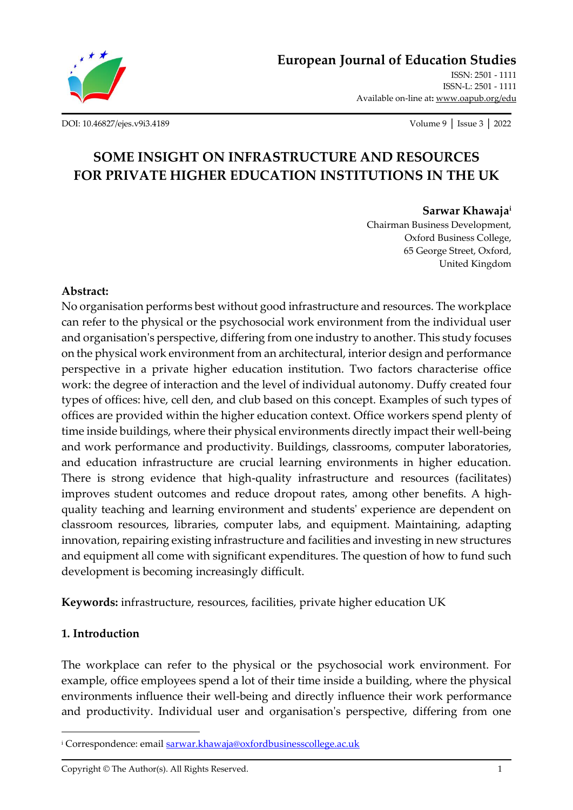

**[European Journal of Education Studies](http://oapub.org/edu/index.php/ejes)** ISSN: 2501 - 1111

ISSN-L: 2501 - 1111 Available on-line at**:** [www.oapub.org/edu](about:blank)

[DOI: 10.46827/ejes.v9i3.4189](http://dx.doi.org/10.46827/ejes.v9i3.4189) Volume 9 │ Issue 3 │ 2022

# **SOME INSIGHT ON INFRASTRUCTURE AND RESOURCES FOR PRIVATE HIGHER EDUCATION INSTITUTIONS IN THE UK**

#### **Sarwar Khawaja<sup>i</sup>**

Chairman Business Development, Oxford Business College, 65 George Street, Oxford, United Kingdom

#### **Abstract:**

No organisation performs best without good infrastructure and resources. The workplace can refer to the physical or the psychosocial work environment from the individual user and organisation's perspective, differing from one industry to another. This study focuses on the physical work environment from an architectural, interior design and performance perspective in a private higher education institution. Two factors characterise office work: the degree of interaction and the level of individual autonomy. Duffy created four types of offices: hive, cell den, and club based on this concept. Examples of such types of offices are provided within the higher education context. Office workers spend plenty of time inside buildings, where their physical environments directly impact their well-being and work performance and productivity. Buildings, classrooms, computer laboratories, and education infrastructure are crucial learning environments in higher education. There is strong evidence that high-quality infrastructure and resources (facilitates) improves student outcomes and reduce dropout rates, among other benefits. A highquality teaching and learning environment and students' experience are dependent on classroom resources, libraries, computer labs, and equipment. Maintaining, adapting innovation, repairing existing infrastructure and facilities and investing in new structures and equipment all come with significant expenditures. The question of how to fund such development is becoming increasingly difficult.

**Keywords:** infrastructure, resources, facilities, private higher education UK

#### **1. Introduction**

The workplace can refer to the physical or the psychosocial work environment. For example, office employees spend a lot of their time inside a building, where the physical environments influence their well-being and directly influence their work performance and productivity. Individual user and organisation's perspective, differing from one

Copyright © The Author(s). All Rights Reserved. 1

<sup>&</sup>lt;sup>i</sup> Correspondence: emai[l sarwar.khawaja@oxfordbusinesscollege.ac.uk](mailto:sarwar.khawaja@oxfordbusinesscollege.ac.uk)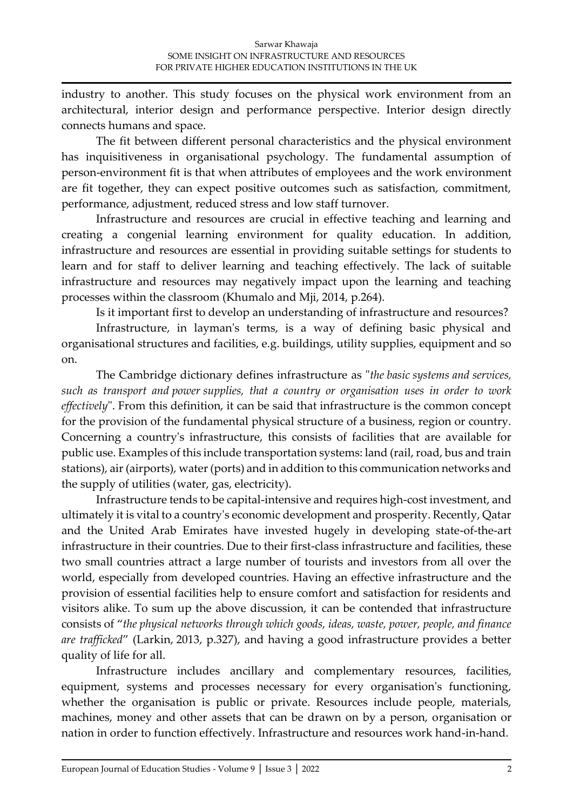industry to another. This study focuses on the physical work environment from an architectural, interior design and performance perspective. Interior design directly connects humans and space.

The fit between different personal characteristics and the physical environment has inquisitiveness in organisational psychology. The fundamental assumption of person-environment fit is that when attributes of employees and the work environment are fit together, they can expect positive outcomes such as satisfaction, commitment, performance, adjustment, reduced stress and low staff turnover.

Infrastructure and resources are crucial in effective teaching and learning and creating a congenial learning environment for quality education. In addition, infrastructure and resources are essential in providing suitable settings for students to learn and for staff to deliver learning and teaching effectively. The lack of suitable infrastructure and resources may negatively impact upon the learning and teaching processes within the classroom (Khumalo and Mji, 2014, p.264).

Is it important first to develop an understanding of infrastructure and resources?

Infrastructure, in layman's terms, is a way of defining basic physical and organisational structures and facilities, e.g. buildings, utility supplies, equipment and so on.

The Cambridge dictionary defines infrastructure as "*the basic systems and services, such as transport and power supplies, that a country or organisation uses in order to work effectively*". From this definition, it can be said that infrastructure is the common concept for the provision of the fundamental physical structure of a business, region or country. Concerning a country's infrastructure, this consists of facilities that are available for public use. Examples of this include transportation systems: land (rail, road, bus and train stations), air (airports), water (ports) and in addition to this communication networks and the supply of utilities (water, gas, electricity).

Infrastructure tends to be capital-intensive and requires high-cost investment, and ultimately it is vital to a country's economic development and prosperity. Recently, Qatar and the United Arab Emirates have invested hugely in developing state-of-the-art infrastructure in their countries. Due to their first-class infrastructure and facilities, these two small countries attract a large number of tourists and investors from all over the world, especially from developed countries. Having an effective infrastructure and the provision of essential facilities help to ensure comfort and satisfaction for residents and visitors alike. To sum up the above discussion, it can be contended that infrastructure consists of "*the physical networks through which goods, ideas, waste, power, people, and finance are trafficked*" (Larkin, 2013, p.327), and having a good infrastructure provides a better quality of life for all.

Infrastructure includes ancillary and complementary resources, facilities, equipment, systems and processes necessary for every organisation's functioning, whether the organisation is public or private. Resources include people, materials, machines, money and other assets that can be drawn on by a person, organisation or nation in order to function effectively. Infrastructure and resources work hand-in-hand.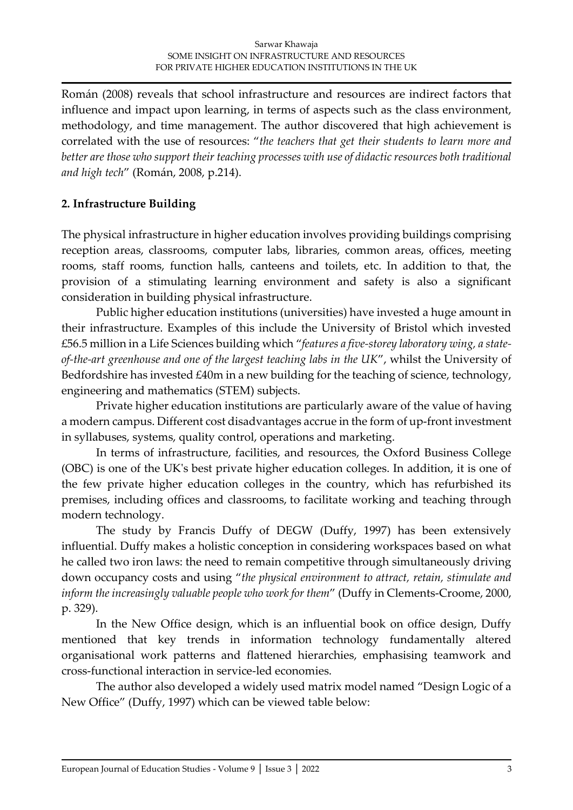Román (2008) reveals that school infrastructure and resources are indirect factors that influence and impact upon learning, in terms of aspects such as the class environment, methodology, and time management. The author discovered that high achievement is correlated with the use of resources: "*the teachers that get their students to learn more and better are those who support their teaching processes with use of didactic resources both traditional and high tech*" (Román, 2008, p.214).

# **2. Infrastructure Building**

The physical infrastructure in higher education involves providing buildings comprising reception areas, classrooms, computer labs, libraries, common areas, offices, meeting rooms, staff rooms, function halls, canteens and toilets, etc. In addition to that, the provision of a stimulating learning environment and safety is also a significant consideration in building physical infrastructure.

Public higher education institutions (universities) have invested a huge amount in their infrastructure. Examples of this include the University of Bristol which invested £56.5 million in a Life Sciences building which "*features a five-storey laboratory wing, a stateof-the-art greenhouse and one of the largest teaching labs in the UK*", whilst the University of Bedfordshire has invested £40m in a new building for the teaching of science, technology, engineering and mathematics (STEM) subjects.

Private higher education institutions are particularly aware of the value of having a modern campus. Different cost disadvantages accrue in the form of up-front investment in syllabuses, systems, quality control, operations and marketing.

In terms of infrastructure, facilities, and resources, the Oxford Business College (OBC) is one of the UK's best private higher education colleges. In addition, it is one of the few private higher education colleges in the country, which has refurbished its premises, including offices and classrooms, to facilitate working and teaching through modern technology.

The study by Francis Duffy of DEGW (Duffy, 1997) has been extensively influential. Duffy makes a holistic conception in considering workspaces based on what he called two iron laws: the need to remain competitive through simultaneously driving down occupancy costs and using "*the physical environment to attract, retain, stimulate and inform the increasingly valuable people who work for them*" (Duffy in Clements-Croome, 2000, p. 329).

In the New Office design, which is an influential book on office design, Duffy mentioned that key trends in information technology fundamentally altered organisational work patterns and flattened hierarchies, emphasising teamwork and cross-functional interaction in service-led economies.

The author also developed a widely used matrix model named "Design Logic of a New Office" (Duffy, 1997) which can be viewed table below: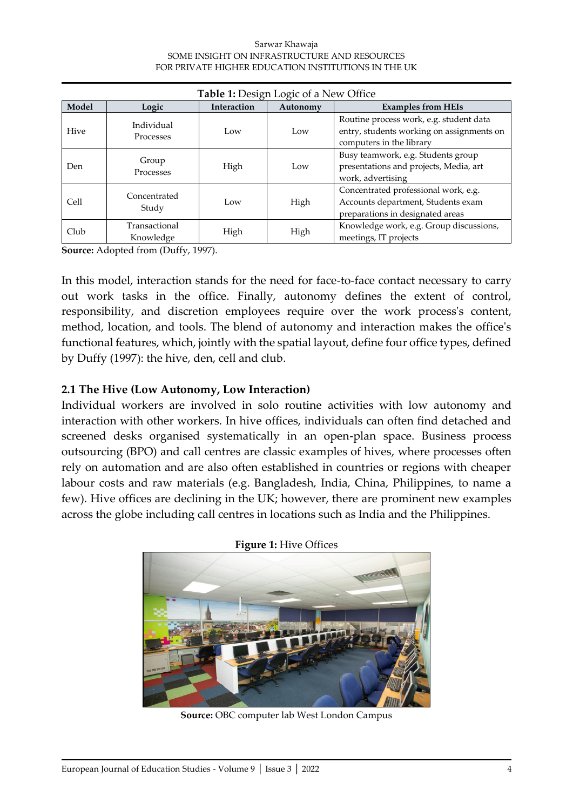#### Sarwar Khawaja SOME INSIGHT ON INFRASTRUCTURE AND RESOURCES FOR PRIVATE HIGHER EDUCATION INSTITUTIONS IN THE UK

| <b>Table 1:</b> Design Logic of a New Office |                                |             |          |                                                                                                                  |
|----------------------------------------------|--------------------------------|-------------|----------|------------------------------------------------------------------------------------------------------------------|
| Model                                        | Logic                          | Interaction | Autonomy | <b>Examples from HEIs</b>                                                                                        |
| Hive                                         | Individual<br><b>Processes</b> | Low         | Low      | Routine process work, e.g. student data<br>entry, students working on assignments on<br>computers in the library |
| Den.                                         | Group<br><b>Processes</b>      | High        | Low      | Busy teamwork, e.g. Students group<br>presentations and projects, Media, art<br>work, advertising                |
| Cell                                         | Concentrated<br>Study          | Low         | High     | Concentrated professional work, e.g.<br>Accounts department, Students exam<br>preparations in designated areas   |
| Club                                         | Transactional<br>Knowledge     | High        | High     | Knowledge work, e.g. Group discussions,<br>meetings, IT projects                                                 |

**Source:** Adopted from (Duffy, 1997).

In this model, interaction stands for the need for face-to-face contact necessary to carry out work tasks in the office. Finally, autonomy defines the extent of control, responsibility, and discretion employees require over the work process's content, method, location, and tools. The blend of autonomy and interaction makes the office's functional features, which, jointly with the spatial layout, define four office types, defined by Duffy (1997): the hive, den, cell and club.

### **2.1 The Hive (Low Autonomy, Low Interaction)**

Individual workers are involved in solo routine activities with low autonomy and interaction with other workers. In hive offices, individuals can often find detached and screened desks organised systematically in an open-plan space. Business process outsourcing (BPO) and call centres are classic examples of hives, where processes often rely on automation and are also often established in countries or regions with cheaper labour costs and raw materials (e.g. Bangladesh, India, China, Philippines, to name a few). Hive offices are declining in the UK; however, there are prominent new examples across the globe including call centres in locations such as India and the Philippines.



**Source:** OBC computer lab West London Campus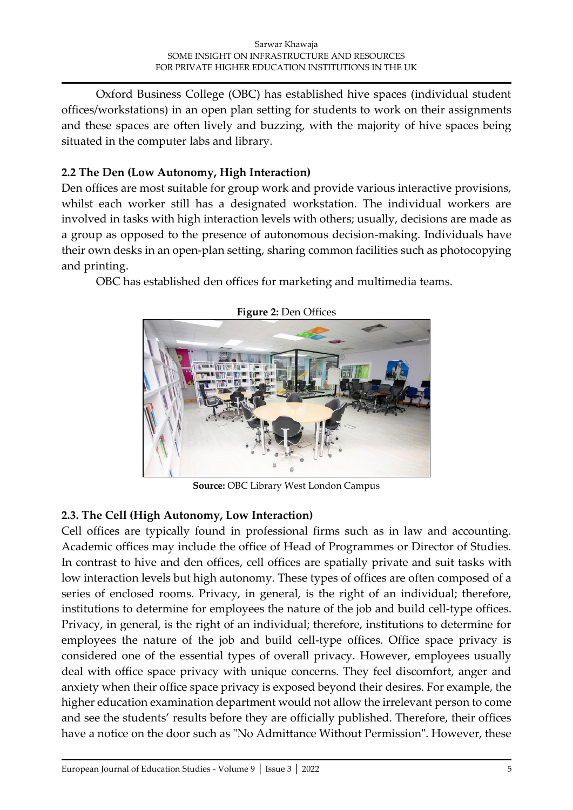Oxford Business College (OBC) has established hive spaces (individual student offices/workstations) in an open plan setting for students to work on their assignments and these spaces are often lively and buzzing, with the majority of hive spaces being situated in the computer labs and library.

# **2.2 The Den (Low Autonomy, High Interaction)**

Den offices are most suitable for group work and provide various interactive provisions, whilst each worker still has a designated workstation. The individual workers are involved in tasks with high interaction levels with others; usually, decisions are made as a group as opposed to the presence of autonomous decision-making. Individuals have their own desks in an open-plan setting, sharing common facilities such as photocopying and printing.

OBC has established den offices for marketing and multimedia teams.



**Figure 2:** Den Offices

**Source:** OBC Library West London Campus

# **2.3. The Cell (High Autonomy, Low Interaction)**

Cell offices are typically found in professional firms such as in law and accounting. Academic offices may include the office of Head of Programmes or Director of Studies. In contrast to hive and den offices, cell offices are spatially private and suit tasks with low interaction levels but high autonomy. These types of offices are often composed of a series of enclosed rooms. Privacy, in general, is the right of an individual; therefore, institutions to determine for employees the nature of the job and build cell-type offices. Privacy, in general, is the right of an individual; therefore, institutions to determine for employees the nature of the job and build cell-type offices. Office space privacy is considered one of the essential types of overall privacy. However, employees usually deal with office space privacy with unique concerns. They feel discomfort, anger and anxiety when their office space privacy is exposed beyond their desires. For example, the higher education examination department would not allow the irrelevant person to come and see the students' results before they are officially published. Therefore, their offices have a notice on the door such as "No Admittance Without Permission". However, these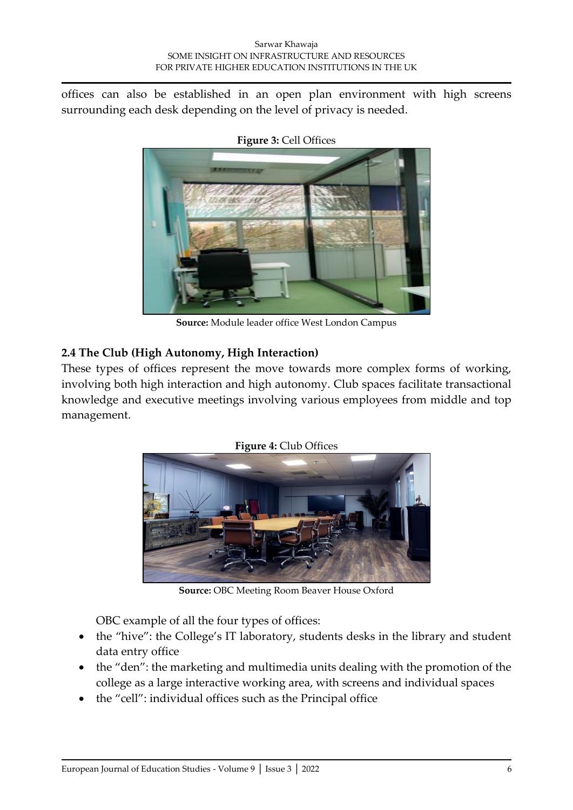offices can also be established in an open plan environment with high screens surrounding each desk depending on the level of privacy is needed.



**Figure 3:** Cell Offices

**Source:** Module leader office West London Campus

# **2.4 The Club (High Autonomy, High Interaction)**

These types of offices represent the move towards more complex forms of working, involving both high interaction and high autonomy. Club spaces facilitate transactional knowledge and executive meetings involving various employees from middle and top management.



**Figure 4:** Club Offices

**Source:** OBC Meeting Room Beaver House Oxford

OBC example of all the four types of offices:

- the "hive": the College's IT laboratory, students desks in the library and student data entry office
- the "den": the marketing and multimedia units dealing with the promotion of the college as a large interactive working area, with screens and individual spaces
- the "cell": individual offices such as the Principal office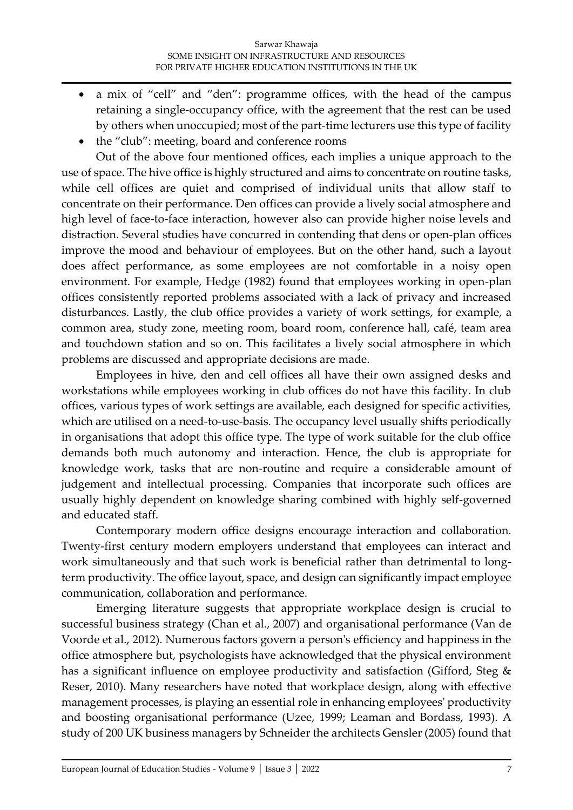- a mix of "cell" and "den": programme offices, with the head of the campus retaining a single-occupancy office, with the agreement that the rest can be used by others when unoccupied; most of the part-time lecturers use this type of facility
- the "club": meeting, board and conference rooms

Out of the above four mentioned offices, each implies a unique approach to the use of space. The hive office is highly structured and aims to concentrate on routine tasks, while cell offices are quiet and comprised of individual units that allow staff to concentrate on their performance. Den offices can provide a lively social atmosphere and high level of face-to-face interaction, however also can provide higher noise levels and distraction. Several studies have concurred in contending that dens or open-plan offices improve the mood and behaviour of employees. But on the other hand, such a layout does affect performance, as some employees are not comfortable in a noisy open environment. For example, Hedge (1982) found that employees working in open-plan offices consistently reported problems associated with a lack of privacy and increased disturbances. Lastly, the club office provides a variety of work settings, for example, a common area, study zone, meeting room, board room, conference hall, café, team area and touchdown station and so on. This facilitates a lively social atmosphere in which problems are discussed and appropriate decisions are made.

Employees in hive, den and cell offices all have their own assigned desks and workstations while employees working in club offices do not have this facility. In club offices, various types of work settings are available, each designed for specific activities, which are utilised on a need-to-use-basis. The occupancy level usually shifts periodically in organisations that adopt this office type. The type of work suitable for the club office demands both much autonomy and interaction. Hence, the club is appropriate for knowledge work, tasks that are non-routine and require a considerable amount of judgement and intellectual processing. Companies that incorporate such offices are usually highly dependent on knowledge sharing combined with highly self-governed and educated staff.

Contemporary modern office designs encourage interaction and collaboration. Twenty-first century modern employers understand that employees can interact and work simultaneously and that such work is beneficial rather than detrimental to longterm productivity. The office layout, space, and design can significantly impact employee communication, collaboration and performance.

Emerging literature suggests that appropriate workplace design is crucial to successful business strategy (Chan et al., 2007) and organisational performance (Van de Voorde et al., 2012). Numerous factors govern a person's efficiency and happiness in the office atmosphere but, psychologists have acknowledged that the physical environment has a significant influence on employee productivity and satisfaction (Gifford, Steg & Reser, 2010). Many researchers have noted that workplace design, along with effective management processes, is playing an essential role in enhancing employees' productivity and boosting organisational performance (Uzee, 1999; Leaman and Bordass, 1993). A study of 200 UK business managers by Schneider the architects Gensler (2005) found that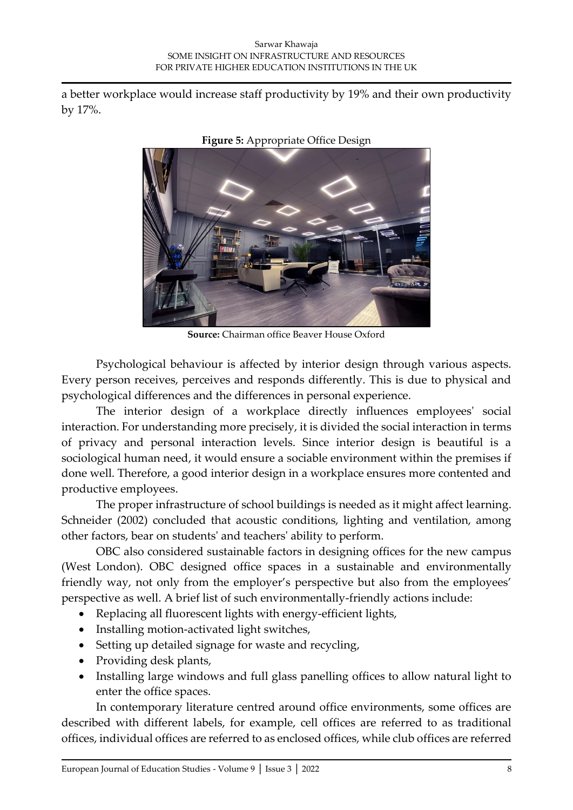a better workplace would increase staff productivity by 19% and their own productivity by 17%.



**Figure 5:** Appropriate Office Design

**Source:** Chairman office Beaver House Oxford

Psychological behaviour is affected by interior design through various aspects. Every person receives, perceives and responds differently. This is due to physical and psychological differences and the differences in personal experience.

The interior design of a workplace directly influences employees' social interaction. For understanding more precisely, it is divided the social interaction in terms of privacy and personal interaction levels. Since interior design is beautiful is a sociological human need, it would ensure a sociable environment within the premises if done well. Therefore, a good interior design in a workplace ensures more contented and productive employees.

The proper infrastructure of school buildings is needed as it might affect learning. Schneider (2002) concluded that acoustic conditions, lighting and ventilation, among other factors, bear on students' and teachers' ability to perform.

OBC also considered sustainable factors in designing offices for the new campus (West London). OBC designed office spaces in a sustainable and environmentally friendly way, not only from the employer's perspective but also from the employees' perspective as well. A brief list of such environmentally-friendly actions include:

- Replacing all fluorescent lights with energy-efficient lights,
- Installing motion-activated light switches,
- Setting up detailed signage for waste and recycling,
- Providing desk plants,
- Installing large windows and full glass panelling offices to allow natural light to enter the office spaces.

In contemporary literature centred around office environments, some offices are described with different labels, for example, cell offices are referred to as traditional offices, individual offices are referred to as enclosed offices, while club offices are referred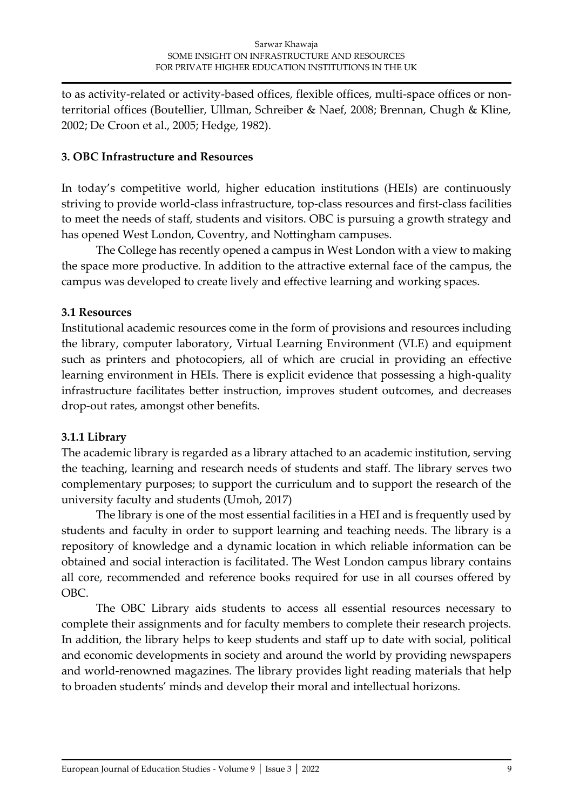to as activity-related or activity-based offices, flexible offices, multi-space offices or nonterritorial offices (Boutellier, Ullman, Schreiber & Naef, 2008; Brennan, Chugh & Kline, 2002; De Croon et al., 2005; Hedge, 1982).

#### **3. OBC Infrastructure and Resources**

In today's competitive world, higher education institutions (HEIs) are continuously striving to provide world-class infrastructure, top-class resources and first-class facilities to meet the needs of staff, students and visitors. OBC is pursuing a growth strategy and has opened West London, Coventry, and Nottingham campuses.

The College has recently opened a campus in West London with a view to making the space more productive. In addition to the attractive external face of the campus, the campus was developed to create lively and effective learning and working spaces.

### **3.1 Resources**

Institutional academic resources come in the form of provisions and resources including the library, computer laboratory, Virtual Learning Environment (VLE) and equipment such as printers and photocopiers, all of which are crucial in providing an effective learning environment in HEIs. There is explicit evidence that possessing a high-quality infrastructure facilitates better instruction, improves student outcomes, and decreases drop-out rates, amongst other benefits.

# **3.1.1 Library**

The academic library is regarded as a library attached to an academic institution, serving the teaching, learning and research needs of students and staff. The library serves two complementary purposes; to support the curriculum and to support the research of the university faculty and students (Umoh, 2017)

The library is one of the most essential facilities in a HEI and is frequently used by students and faculty in order to support learning and teaching needs. The library is a repository of knowledge and a dynamic location in which reliable information can be obtained and social interaction is facilitated. The West London campus library contains all core, recommended and reference books required for use in all courses offered by OBC.

The OBC Library aids students to access all essential resources necessary to complete their assignments and for faculty members to complete their research projects. In addition, the library helps to keep students and staff up to date with social, political and economic developments in society and around the world by providing newspapers and world-renowned magazines. The library provides light reading materials that help to broaden students' minds and develop their moral and intellectual horizons.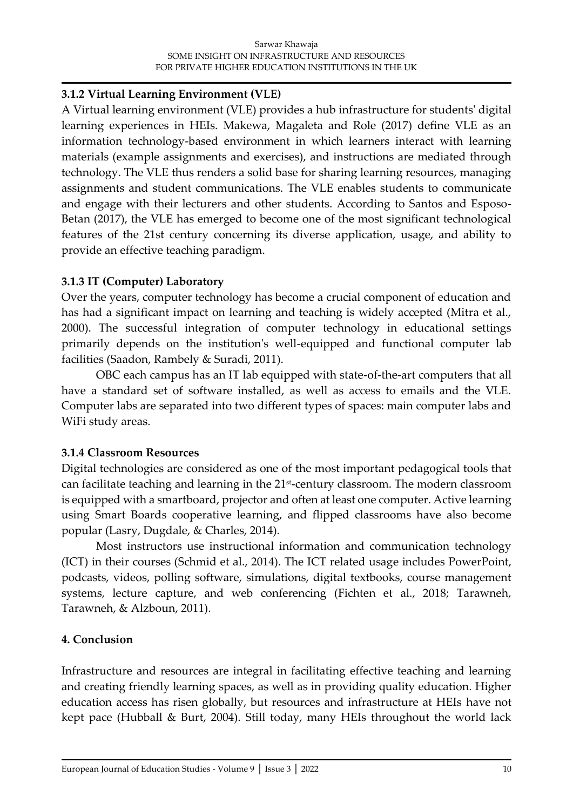#### **3.1.2 Virtual Learning Environment (VLE)**

A Virtual learning environment (VLE) provides a hub infrastructure for students' digital learning experiences in HEIs. Makewa, Magaleta and Role (2017) define VLE as an information technology-based environment in which learners interact with learning materials (example assignments and exercises), and instructions are mediated through technology. The VLE thus renders a solid base for sharing learning resources, managing assignments and student communications. The VLE enables students to communicate and engage with their lecturers and other students. According to Santos and Esposo-Betan (2017), the VLE has emerged to become one of the most significant technological features of the 21st century concerning its diverse application, usage, and ability to provide an effective teaching paradigm.

### **3.1.3 IT (Computer) Laboratory**

Over the years, computer technology has become a crucial component of education and has had a significant impact on learning and teaching is widely accepted (Mitra et al., 2000). The successful integration of computer technology in educational settings primarily depends on the institution's well-equipped and functional computer lab facilities (Saadon, Rambely & Suradi, 2011).

OBC each campus has an IT lab equipped with state-of-the-art computers that all have a standard set of software installed, as well as access to emails and the VLE. Computer labs are separated into two different types of spaces: main computer labs and WiFi study areas.

# **3.1.4 Classroom Resources**

Digital technologies are considered as one of the most important pedagogical tools that can facilitate teaching and learning in the 21st-century classroom. The modern classroom is equipped with a smartboard, projector and often at least one computer. Active learning using Smart Boards cooperative learning, and flipped classrooms have also become popular (Lasry, Dugdale, & Charles, 2014).

Most instructors use instructional information and communication technology (ICT) in their courses (Schmid et al., 2014). The ICT related usage includes PowerPoint, podcasts, videos, polling software, simulations, digital textbooks, course management systems, lecture capture, and web conferencing (Fichten et al., 2018; Tarawneh, Tarawneh, & Alzboun, 2011).

# **4. Conclusion**

Infrastructure and resources are integral in facilitating effective teaching and learning and creating friendly learning spaces, as well as in providing quality education. Higher education access has risen globally, but resources and infrastructure at HEIs have not kept pace (Hubball & Burt, 2004). Still today, many HEIs throughout the world lack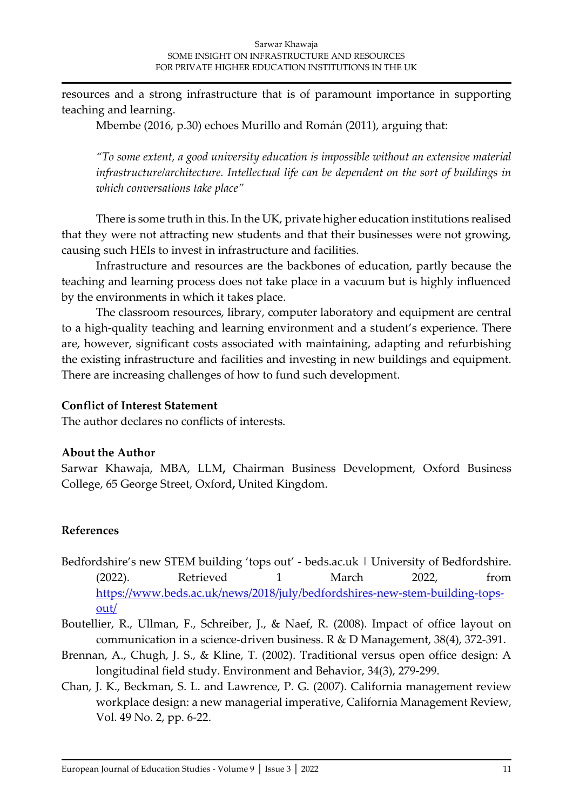resources and a strong infrastructure that is of paramount importance in supporting teaching and learning.

Mbembe (2016, p.30) echoes Murillo and Román (2011), arguing that:

*"To some extent, a good university education is impossible without an extensive material infrastructure/architecture. Intellectual life can be dependent on the sort of buildings in which conversations take place"* 

There is some truth in this. In the UK, private higher education institutions realised that they were not attracting new students and that their businesses were not growing, causing such HEIs to invest in infrastructure and facilities.

Infrastructure and resources are the backbones of education, partly because the teaching and learning process does not take place in a vacuum but is highly influenced by the environments in which it takes place.

The classroom resources, library, computer laboratory and equipment are central to a high-quality teaching and learning environment and a student's experience. There are, however, significant costs associated with maintaining, adapting and refurbishing the existing infrastructure and facilities and investing in new buildings and equipment. There are increasing challenges of how to fund such development.

#### **Conflict of Interest Statement**

The author declares no conflicts of interests.

#### **About the Author**

Sarwar Khawaja, MBA, LLM**,** Chairman Business Development, Oxford Business College, 65 George Street, Oxford**,** United Kingdom.

#### **References**

- Bedfordshire's new STEM building 'tops out' beds.ac.uk | University of Bedfordshire. (2022). Retrieved 1 March 2022, from [https://www.beds.ac.uk/news/2018/july/bedfordshires-new-stem-building-tops](https://www.beds.ac.uk/news/2018/july/bedfordshires-new-stem-building-tops-out/)[out/](https://www.beds.ac.uk/news/2018/july/bedfordshires-new-stem-building-tops-out/)
- Boutellier, R., Ullman, F., Schreiber, J., & Naef, R. (2008). Impact of office layout on communication in a science-driven business. R & D Management, 38(4), 372-391.
- Brennan, A., Chugh, J. S., & Kline, T. (2002). Traditional versus open office design: A longitudinal field study. Environment and Behavior, 34(3), 279-299.
- Chan, J. K., Beckman, S. L. and Lawrence, P. G. (2007). California management review workplace design: a new managerial imperative, California Management Review, Vol. 49 No. 2, pp. 6-22.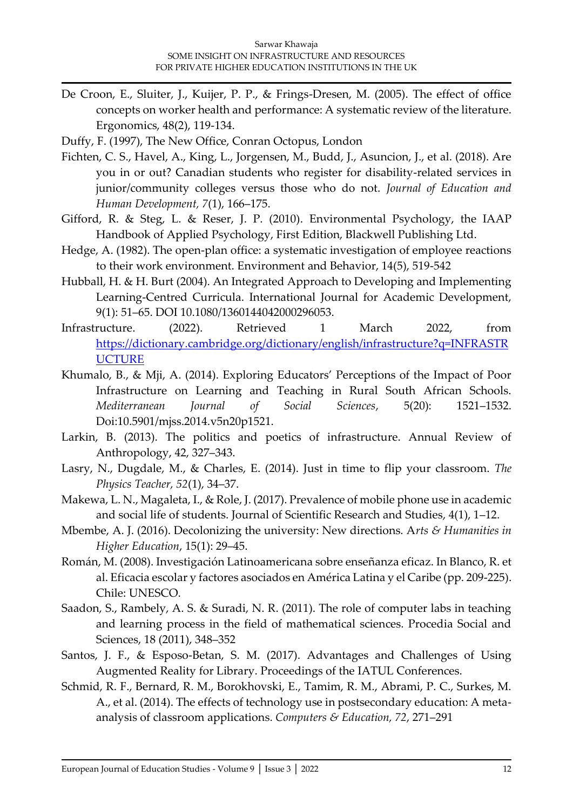- De Croon, E., Sluiter, J., Kuijer, P. P., & Frings-Dresen, M. (2005). The effect of office concepts on worker health and performance: A systematic review of the literature. Ergonomics, 48(2), 119-134.
- Duffy, F. (1997), The New Office, Conran Octopus, London
- Fichten, C. S., Havel, A., King, L., Jorgensen, M., Budd, J., Asuncion, J., et al. (2018). Are you in or out? Canadian students who register for disability-related services in junior/community colleges versus those who do not. *Journal of Education and Human Development, 7*(1), 166–175.
- Gifford, R. & Steg, L. & Reser, J. P. (2010). Environmental Psychology, the IAAP Handbook of Applied Psychology, First Edition, Blackwell Publishing Ltd.
- Hedge, A. (1982). The open-plan office: a systematic investigation of employee reactions to their work environment. Environment and Behavior, 14(5), 519-542
- Hubball, H. & H. Burt (2004). An Integrated Approach to Developing and Implementing Learning-Centred Curricula. International Journal for Academic Development, 9(1): 51–65. DOI 10.1080/1360144042000296053.
- Infrastructure. (2022). Retrieved 1 March 2022, from [https://dictionary.cambridge.org/dictionary/english/infrastructure?q=INFRASTR](https://dictionary.cambridge.org/dictionary/english/infrastructure?q=INFRASTRUCTURE) **[UCTURE](https://dictionary.cambridge.org/dictionary/english/infrastructure?q=INFRASTRUCTURE)**
- Khumalo, B., & Mji, A. (2014). Exploring Educators' Perceptions of the Impact of Poor Infrastructure on Learning and Teaching in Rural South African Schools. *Mediterranean Journal of Social Sciences*, 5(20): 1521–1532. Doi:10.5901/mjss.2014.v5n20p1521.
- Larkin, B. (2013). The politics and poetics of infrastructure. Annual Review of Anthropology, 42, 327–343.
- Lasry, N., Dugdale, M., & Charles, E. (2014). Just in time to flip your classroom. *The Physics Teacher, 52*(1), 34–37.
- Makewa, L. N., Magaleta, I., & Role, J. (2017). Prevalence of mobile phone use in academic and social life of students. Journal of Scientific Research and Studies, 4(1), 1–12.
- Mbembe, A. J. (2016). Decolonizing the university: New directions. A*rts & Humanities in Higher Education*, 15(1): 29–45.
- Román, M. (2008). Investigación Latinoamericana sobre enseñanza eficaz. In Blanco, R. et al. Eficacia escolar y factores asociados en América Latina y el Caribe (pp. 209-225). Chile: UNESCO.
- Saadon, S., Rambely, A. S. & Suradi, N. R. (2011). The role of computer labs in teaching and learning process in the field of mathematical sciences. Procedia Social and Sciences, 18 (2011), 348–352
- Santos, J. F., & Esposo-Betan, S. M. (2017). Advantages and Challenges of Using Augmented Reality for Library. Proceedings of the IATUL Conferences.
- Schmid, R. F., Bernard, R. M., Borokhovski, E., Tamim, R. M., Abrami, P. C., Surkes, M. A., et al. (2014). The effects of technology use in postsecondary education: A metaanalysis of classroom applications. *Computers & Education, 72*, 271–291